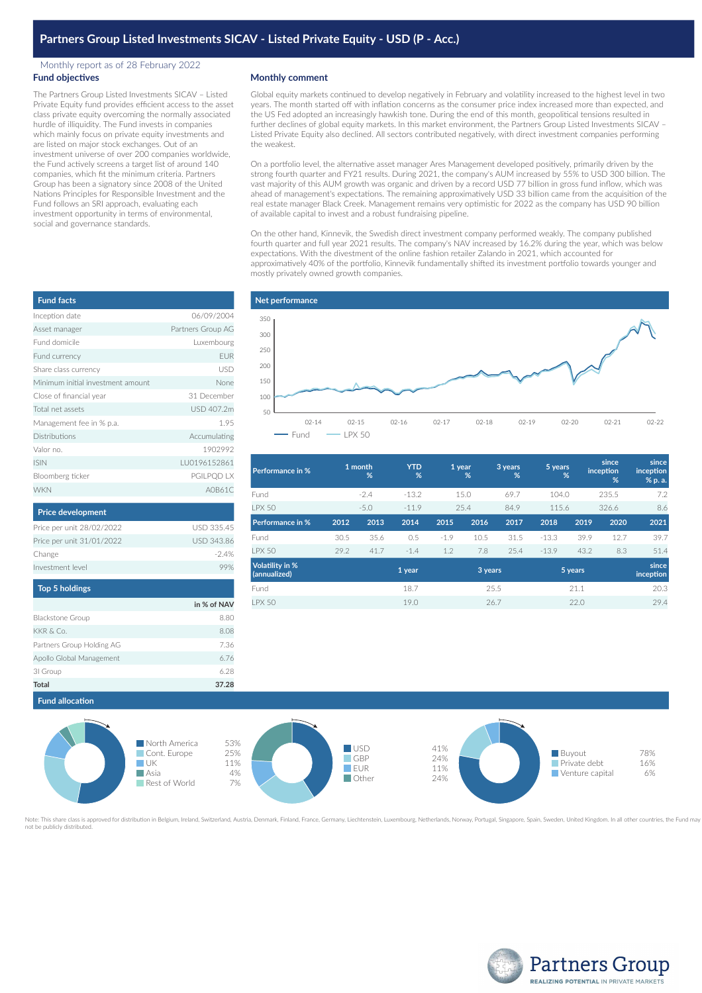## Monthly report as of 28 February 2022 **Fund objectives**

The Partners Group Listed Investments SICAV – Listed Private Equity fund provides efficient access to the asset class private equity overcoming the normally associated hurdle of illiquidity. The Fund invests in companies which mainly focus on private equity investments and are listed on major stock exchanges. Out of an investment universe of over 200 companies worldwide, the Fund actively screens a target list of around 140 companies, which fit the minimum criteria. Partners Group has been a signatory since 2008 of the United Nations Principles for Responsible Investment and the Fund follows an SRI approach, evaluating each investment opportunity in terms of environmental, social and governance standards.

## **Monthly comment**

Global equity markets continued to develop negatively in February and volatility increased to the highest level in two years. The month started off with inflation concerns as the consumer price index increased more than expected, and the US Fed adopted an increasingly hawkish tone. During the end of this month, geopolitical tensions resulted in further declines of global equity markets. In this market environment, the Partners Group Listed Investments SICAV – Listed Private Equity also declined. All sectors contributed negatively, with direct investment companies performing the weakest.

On a portfolio level, the alternative asset manager Ares Management developed positively, primarily driven by the strong fourth quarter and FY21 results. During 2021, the company's AUM increased by 55% to USD 300 billion. The vast majority of this AUM growth was organic and driven by a record USD 77 billion in gross fund inflow, which was ahead of management's expectations. The remaining approximatively USD 33 billion came from the acquisition of the real estate manager Black Creek. Management remains very optimistic for 2022 as the company has USD 90 billion of available capital to invest and a robust fundraising pipeline.

On the other hand, Kinnevik, the Swedish direct investment company performed weakly. The company published fourth quarter and full year 2021 results. The company's NAV increased by 16.2% during the year, which was below expectations. With the divestment of the online fashion retailer Zalando in 2021, which accounted for approximatively 40% of the portfolio, Kinnevik fundamentally shifted its investment portfolio towards younger and mostly privately owned growth companies.



| Performance in %                |      | 1 month<br>% | <b>YTD</b><br>% |        | 1 year<br>% | 3 years<br>% | 5 years | %       | since<br>inception<br>% | since<br>inception<br>% p. a. |
|---------------------------------|------|--------------|-----------------|--------|-------------|--------------|---------|---------|-------------------------|-------------------------------|
| Fund                            |      | $-2.4$       | $-13.2$         |        | 15.0        | 69.7         | 104.0   |         | 235.5                   | 7.2                           |
| <b>LPX 50</b>                   |      | $-5.0$       | $-11.9$         |        | 25.4        | 84.9         | 115.6   |         | 326.6                   | 8.6                           |
| Performance in %                | 2012 | 2013         | 2014            | 2015   | 2016        | 2017         | 2018    | 2019    | 2020                    | 2021                          |
| Fund                            | 30.5 | 35.6         | 0.5             | $-1.9$ | 10.5        | 31.5         | $-13.3$ | 39.9    | 12.7                    | 39.7                          |
| <b>LPX 50</b>                   | 29.2 | 41.7         | $-1.4$          | 1.2    | 7.8         | 25.4         | $-13.9$ | 43.2    | 8.3                     | 51.4                          |
| Volatility in %<br>(annualized) |      |              | 1 year          |        | 3 years     |              |         | 5 years |                         | since<br>inception            |
| Fund                            |      |              | 18.7            |        |             | 25.5         |         | 21.1    |                         | 20.3                          |
| <b>I PX 50</b>                  |      |              | 19.0            |        |             | 26.7         |         | 22.0    |                         | 29.4                          |



ved for distribution in Belgium, Ireland, Switzerland, Austria, Denmark, Finland, France, Germany, Liechtenstein, Luxembourg, Netherlands, Norway, Portugal, Singapore, Spain, Sweden, United Kingdom. In all other countries, not be publicly distributed.

| <b>Fund facts</b>                 |                   |
|-----------------------------------|-------------------|
| Inception date                    | 06/09/2004        |
| Asset manager                     | Partners Group AG |
| Fund domicile                     | Luxembourg        |
| Fund currency                     | <b>EUR</b>        |
| Share class currency              | <b>USD</b>        |
| Minimum initial investment amount | None              |
| Close of financial year           | 31 December       |
| Total net assets                  | USD 407.2m        |
| Management fee in % p.a.          | 1.95              |
| Distributions                     | Accumulating      |
| Valor no.                         | 1902992           |
| <b>ISIN</b>                       | LU0196152861      |
| Bloomberg ticker                  | PGILPQD LX        |
| <b>WKN</b>                        | A0B61C            |
|                                   |                   |
| <b>Price development</b>          |                   |

| Price per unit 28/02/2022 | USD 335.45        |
|---------------------------|-------------------|
| Price per unit 31/01/2022 | <b>USD 343.86</b> |
| Change                    | $-24%$            |
| Investment level          | 99%               |
|                           |                   |

| <b>Top 5 holdings</b>     |             |
|---------------------------|-------------|
|                           | in % of NAV |
| Blackstone Group          | 8.80        |
| KKR & Co.                 | 8.08        |
| Partners Group Holding AG | 7.36        |
| Apollo Global Management  | 6.76        |
| 31 Group                  | 628         |
| Total                     | 37.28       |